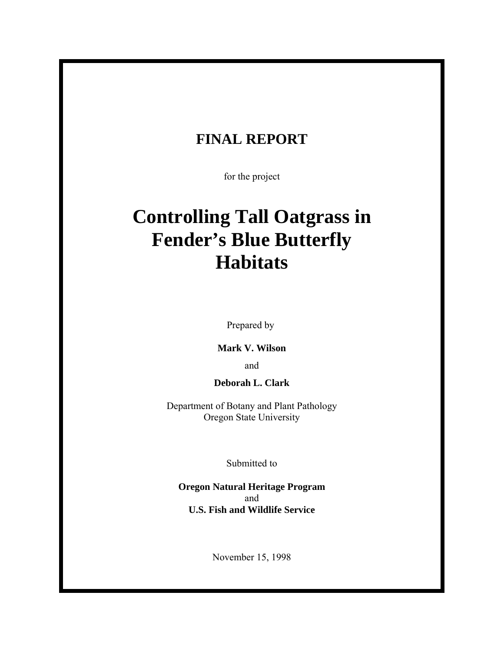## **FINAL REPORT**

for the project

# **Controlling Tall Oatgrass in Fender's Blue Butterfly Habitats**

Prepared by

**Mark V. Wilson**

and

**Deborah L. Clark**

Department of Botany and Plant Pathology Oregon State University

Submitted to

**Oregon Natural Heritage Program** and **U.S. Fish and Wildlife Service**

November 15, 1998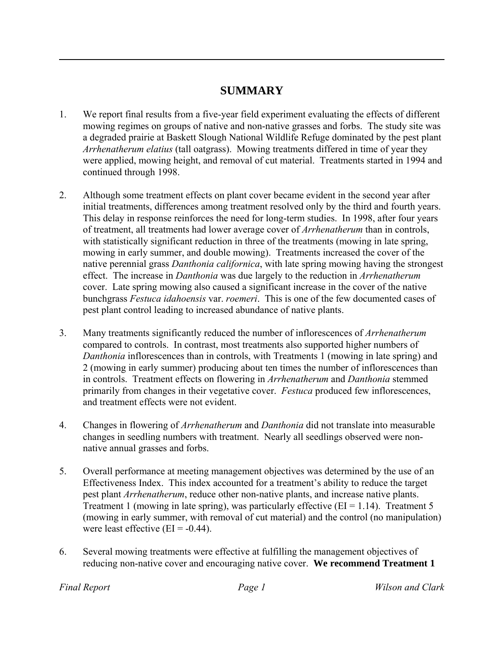## **SUMMARY**

- 1. We report final results from a five-year field experiment evaluating the effects of different mowing regimes on groups of native and non-native grasses and forbs. The study site was a degraded prairie at Baskett Slough National Wildlife Refuge dominated by the pest plant *Arrhenatherum elatius* (tall oatgrass). Mowing treatments differed in time of year they were applied, mowing height, and removal of cut material. Treatments started in 1994 and continued through 1998.
- 2. Although some treatment effects on plant cover became evident in the second year after initial treatments, differences among treatment resolved only by the third and fourth years. This delay in response reinforces the need for long-term studies. In 1998, after four years of treatment, all treatments had lower average cover of *Arrhenatherum* than in controls, with statistically significant reduction in three of the treatments (mowing in late spring, mowing in early summer, and double mowing). Treatments increased the cover of the native perennial grass *Danthonia californica*, with late spring mowing having the strongest effect. The increase in *Danthonia* was due largely to the reduction in *Arrhenatherum* cover. Late spring mowing also caused a significant increase in the cover of the native bunchgrass *Festuca idahoensis* var. *roemeri*. This is one of the few documented cases of pest plant control leading to increased abundance of native plants.
- 3. Many treatments significantly reduced the number of inflorescences of *Arrhenatherum* compared to controls. In contrast, most treatments also supported higher numbers of *Danthonia* inflorescences than in controls, with Treatments 1 (mowing in late spring) and 2 (mowing in early summer) producing about ten times the number of inflorescences than in controls. Treatment effects on flowering in *Arrhenatherum* and *Danthonia* stemmed primarily from changes in their vegetative cover. *Festuca* produced few inflorescences, and treatment effects were not evident.
- 4. Changes in flowering of *Arrhenatherum* and *Danthonia* did not translate into measurable changes in seedling numbers with treatment. Nearly all seedlings observed were nonnative annual grasses and forbs.
- 5. Overall performance at meeting management objectives was determined by the use of an Effectiveness Index. This index accounted for a treatment's ability to reduce the target pest plant *Arrhenatherum*, reduce other non-native plants, and increase native plants. Treatment 1 (mowing in late spring), was particularly effective  $(EI = 1.14)$ . Treatment 5 (mowing in early summer, with removal of cut material) and the control (no manipulation) were least effective  $(EI = -0.44)$ .
- 6. Several mowing treatments were effective at fulfilling the management objectives of reducing non-native cover and encouraging native cover. **We recommend Treatment 1**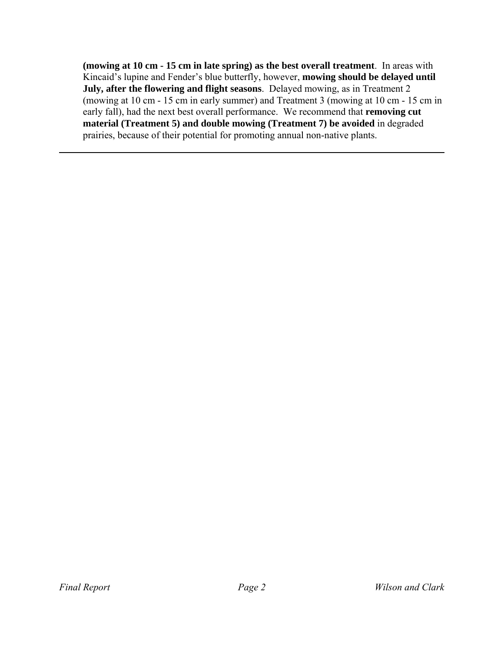**(mowing at 10 cm - 15 cm in late spring) as the best overall treatment**. In areas with Kincaid's lupine and Fender's blue butterfly, however, **mowing should be delayed until July, after the flowering and flight seasons**. Delayed mowing, as in Treatment 2 (mowing at 10 cm - 15 cm in early summer) and Treatment 3 (mowing at 10 cm - 15 cm in early fall), had the next best overall performance. We recommend that **removing cut material (Treatment 5) and double mowing (Treatment 7) be avoided** in degraded prairies, because of their potential for promoting annual non-native plants.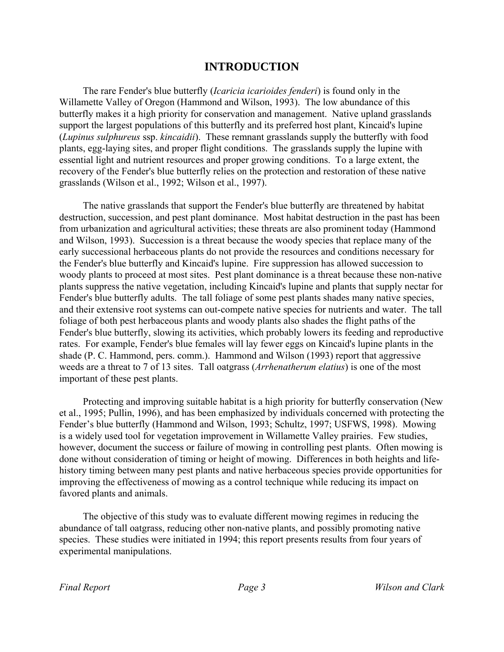## **INTRODUCTION**

The rare Fender's blue butterfly (*Icaricia icarioides fenderi*) is found only in the Willamette Valley of Oregon (Hammond and Wilson, 1993). The low abundance of this butterfly makes it a high priority for conservation and management. Native upland grasslands support the largest populations of this butterfly and its preferred host plant, Kincaid's lupine (*Lupinus sulphureus* ssp. *kincaidii*). These remnant grasslands supply the butterfly with food plants, egg-laying sites, and proper flight conditions. The grasslands supply the lupine with essential light and nutrient resources and proper growing conditions. To a large extent, the recovery of the Fender's blue butterfly relies on the protection and restoration of these native grasslands (Wilson et al., 1992; Wilson et al., 1997).

The native grasslands that support the Fender's blue butterfly are threatened by habitat destruction, succession, and pest plant dominance. Most habitat destruction in the past has been from urbanization and agricultural activities; these threats are also prominent today (Hammond and Wilson, 1993). Succession is a threat because the woody species that replace many of the early successional herbaceous plants do not provide the resources and conditions necessary for the Fender's blue butterfly and Kincaid's lupine. Fire suppression has allowed succession to woody plants to proceed at most sites. Pest plant dominance is a threat because these non-native plants suppress the native vegetation, including Kincaid's lupine and plants that supply nectar for Fender's blue butterfly adults. The tall foliage of some pest plants shades many native species, and their extensive root systems can out-compete native species for nutrients and water. The tall foliage of both pest herbaceous plants and woody plants also shades the flight paths of the Fender's blue butterfly, slowing its activities, which probably lowers its feeding and reproductive rates. For example, Fender's blue females will lay fewer eggs on Kincaid's lupine plants in the shade (P. C. Hammond, pers. comm.). Hammond and Wilson (1993) report that aggressive weeds are a threat to 7 of 13 sites. Tall oatgrass (*Arrhenatherum elatius*) is one of the most important of these pest plants.

Protecting and improving suitable habitat is a high priority for butterfly conservation (New et al., 1995; Pullin, 1996), and has been emphasized by individuals concerned with protecting the Fender's blue butterfly (Hammond and Wilson, 1993; Schultz, 1997; USFWS, 1998). Mowing is a widely used tool for vegetation improvement in Willamette Valley prairies. Few studies, however, document the success or failure of mowing in controlling pest plants. Often mowing is done without consideration of timing or height of mowing. Differences in both heights and lifehistory timing between many pest plants and native herbaceous species provide opportunities for improving the effectiveness of mowing as a control technique while reducing its impact on favored plants and animals.

The objective of this study was to evaluate different mowing regimes in reducing the abundance of tall oatgrass, reducing other non-native plants, and possibly promoting native species. These studies were initiated in 1994; this report presents results from four years of experimental manipulations.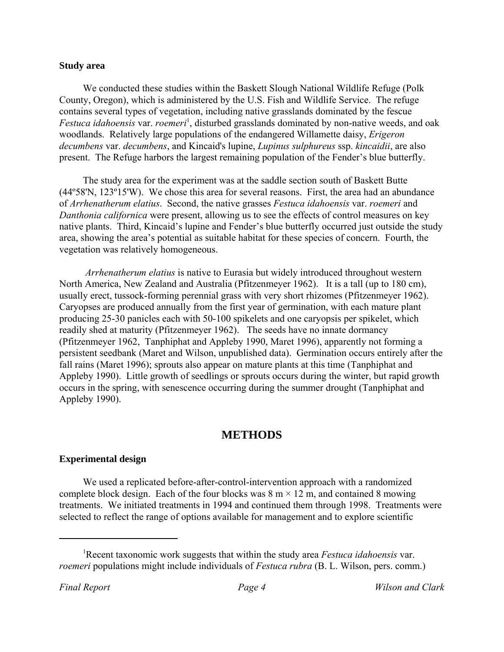#### **Study area**

We conducted these studies within the Baskett Slough National Wildlife Refuge (Polk County, Oregon), which is administered by the U.S. Fish and Wildlife Service. The refuge contains several types of vegetation, including native grasslands dominated by the fescue Festuca *idahoensis* var. *roemeri*<sup>1</sup>, disturbed grasslands dominated by non-native weeds, and oak woodlands. Relatively large populations of the endangered Willamette daisy, *Erigeron decumbens* var. *decumbens*, and Kincaid's lupine, *Lupinus sulphureus* ssp. *kincaidii*, are also present. The Refuge harbors the largest remaining population of the Fender's blue butterfly.

The study area for the experiment was at the saddle section south of Baskett Butte (44º58'N, 123º15'W). We chose this area for several reasons. First, the area had an abundance of *Arrhenatherum elatius*. Second, the native grasses *Festuca idahoensis* var. *roemeri* and *Danthonia californica* were present, allowing us to see the effects of control measures on key native plants. Third, Kincaid's lupine and Fender's blue butterfly occurred just outside the study area, showing the area's potential as suitable habitat for these species of concern. Fourth, the vegetation was relatively homogeneous.

*Arrhenatherum elatius* is native to Eurasia but widely introduced throughout western North America, New Zealand and Australia (Pfitzenmeyer 1962). It is a tall (up to 180 cm), usually erect, tussock-forming perennial grass with very short rhizomes (Pfitzenmeyer 1962). Caryopses are produced annually from the first year of germination, with each mature plant producing 25-30 panicles each with 50-100 spikelets and one caryopsis per spikelet, which readily shed at maturity (Pfitzenmeyer 1962). The seeds have no innate dormancy (Pfitzenmeyer 1962, Tanphiphat and Appleby 1990, Maret 1996), apparently not forming a persistent seedbank (Maret and Wilson, unpublished data). Germination occurs entirely after the fall rains (Maret 1996); sprouts also appear on mature plants at this time (Tanphiphat and Appleby 1990). Little growth of seedlings or sprouts occurs during the winter, but rapid growth occurs in the spring, with senescence occurring during the summer drought (Tanphiphat and Appleby 1990).

### **METHODS**

#### **Experimental design**

We used a replicated before-after-control-intervention approach with a randomized complete block design. Each of the four blocks was  $8 \text{ m} \times 12 \text{ m}$ , and contained 8 mowing treatments. We initiated treatments in 1994 and continued them through 1998. Treatments were selected to reflect the range of options available for management and to explore scientific

<sup>1</sup> Recent taxonomic work suggests that within the study area *Festuca idahoensis* var. *roemeri* populations might include individuals of *Festuca rubra* (B. L. Wilson, pers. comm.)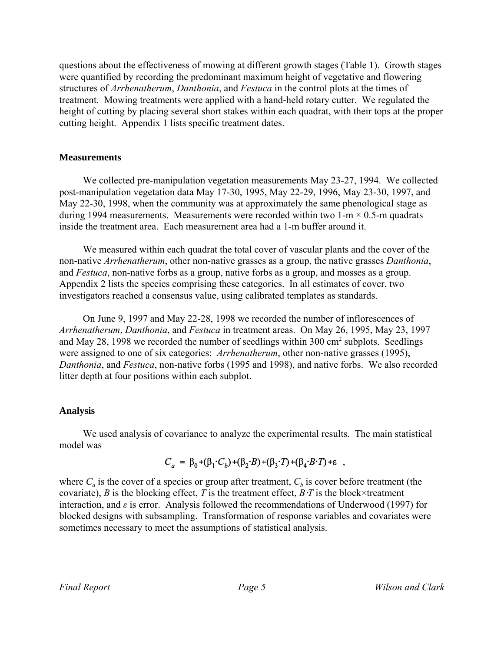questions about the effectiveness of mowing at different growth stages (Table 1). Growth stages were quantified by recording the predominant maximum height of vegetative and flowering structures of *Arrhenatherum*, *Danthonia*, and *Festuca* in the control plots at the times of treatment. Mowing treatments were applied with a hand-held rotary cutter. We regulated the height of cutting by placing several short stakes within each quadrat, with their tops at the proper cutting height. Appendix 1 lists specific treatment dates.

#### **Measurements**

We collected pre-manipulation vegetation measurements May 23-27, 1994. We collected post-manipulation vegetation data May 17-30, 1995, May 22-29, 1996, May 23-30, 1997, and May 22-30, 1998, when the community was at approximately the same phenological stage as during 1994 measurements. Measurements were recorded within two 1-m  $\times$  0.5-m quadrats inside the treatment area. Each measurement area had a 1-m buffer around it.

We measured within each quadrat the total cover of vascular plants and the cover of the non-native *Arrhenatherum*, other non-native grasses as a group, the native grasses *Danthonia*, and *Festuca*, non-native forbs as a group, native forbs as a group, and mosses as a group. Appendix 2 lists the species comprising these categories. In all estimates of cover, two investigators reached a consensus value, using calibrated templates as standards.

 On June 9, 1997 and May 22-28, 1998 we recorded the number of inflorescences of *Arrhenatherum*, *Danthonia*, and *Festuca* in treatment areas. On May 26, 1995, May 23, 1997 and May 28, 1998 we recorded the number of seedlings within 300  $\text{cm}^2$  subplots. Seedlings were assigned to one of six categories: *Arrhenatherum*, other non-native grasses (1995), *Danthonia*, and *Festuca*, non-native forbs (1995 and 1998), and native forbs. We also recorded litter depth at four positions within each subplot.

#### **Analysis**

We used analysis of covariance to analyze the experimental results. The main statistical model was

## $C_a = \beta_0 + (\beta_1 \cdot C_b) + (\beta_2 \cdot B) + (\beta_3 \cdot T) + (\beta_4 \cdot B \cdot T) + \epsilon ,$

where  $C_a$  is the cover of a species or group after treatment,  $C_b$  is cover before treatment (the covariate), *B* is the blocking effect, *T* is the treatment effect, *B* $\cdot$ *T* is the block×treatment interaction, and  $\varepsilon$  is error. Analysis followed the recommendations of Underwood (1997) for blocked designs with subsampling. Transformation of response variables and covariates were sometimes necessary to meet the assumptions of statistical analysis.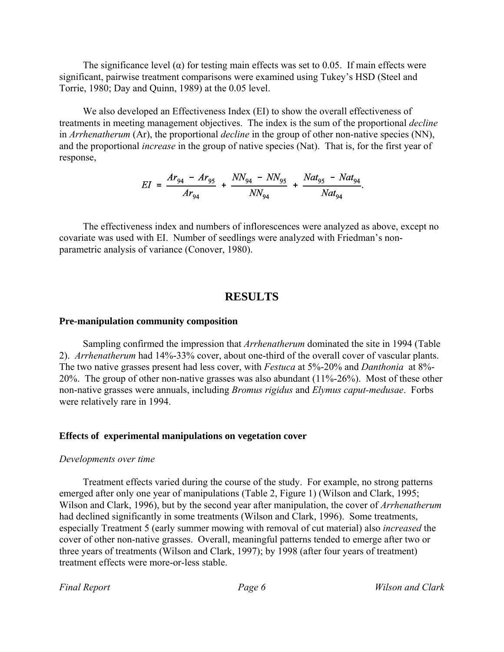The significance level ( $\alpha$ ) for testing main effects was set to 0.05. If main effects were significant, pairwise treatment comparisons were examined using Tukey's HSD (Steel and Torrie, 1980; Day and Quinn, 1989) at the 0.05 level.

We also developed an Effectiveness Index (EI) to show the overall effectiveness of treatments in meeting management objectives. The index is the sum of the proportional *decline* in *Arrhenatherum* (Ar), the proportional *decline* in the group of other non-native species (NN), and the proportional *increase* in the group of native species (Nat). That is, for the first year of response,

$$
EI = \frac{Ar_{94} - Ar_{95}}{Ar_{94}} + \frac{NN_{94} - NN_{95}}{NN_{94}} + \frac{Nat_{95} - Nat_{94}}{Nat_{94}}.
$$

The effectiveness index and numbers of inflorescences were analyzed as above, except no covariate was used with EI. Number of seedlings were analyzed with Friedman's nonparametric analysis of variance (Conover, 1980).

#### **RESULTS**

#### **Pre-manipulation community composition**

Sampling confirmed the impression that *Arrhenatherum* dominated the site in 1994 (Table 2). *Arrhenatherum* had 14%-33% cover, about one-third of the overall cover of vascular plants. The two native grasses present had less cover, with *Festuca* at 5%-20% and *Danthonia* at 8%- 20%. The group of other non-native grasses was also abundant (11%-26%). Most of these other non-native grasses were annuals, including *Bromus rigidus* and *Elymus caput-medusae*. Forbs were relatively rare in 1994.

#### **Effects of experimental manipulations on vegetation cover**

#### *Developments over time*

Treatment effects varied during the course of the study. For example, no strong patterns emerged after only one year of manipulations (Table 2, Figure 1) (Wilson and Clark, 1995; Wilson and Clark, 1996), but by the second year after manipulation, the cover of *Arrhenatherum* had declined significantly in some treatments (Wilson and Clark, 1996). Some treatments, especially Treatment 5 (early summer mowing with removal of cut material) also *increased* the cover of other non-native grasses. Overall, meaningful patterns tended to emerge after two or three years of treatments (Wilson and Clark, 1997); by 1998 (after four years of treatment) treatment effects were more-or-less stable.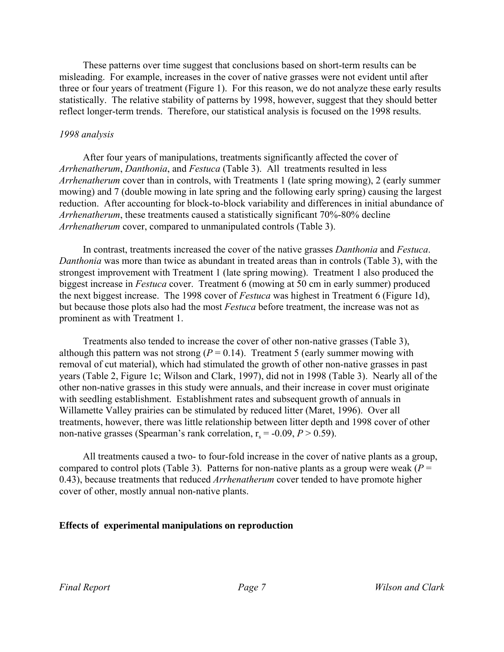These patterns over time suggest that conclusions based on short-term results can be misleading. For example, increases in the cover of native grasses were not evident until after three or four years of treatment (Figure 1). For this reason, we do not analyze these early results statistically. The relative stability of patterns by 1998, however, suggest that they should better reflect longer-term trends. Therefore, our statistical analysis is focused on the 1998 results.

#### *1998 analysis*

After four years of manipulations, treatments significantly affected the cover of *Arrhenatherum*, *Danthonia*, and *Festuca* (Table 3). All treatments resulted in less *Arrhenatherum* cover than in controls, with Treatments 1 (late spring mowing), 2 (early summer mowing) and 7 (double mowing in late spring and the following early spring) causing the largest reduction. After accounting for block-to-block variability and differences in initial abundance of *Arrhenatherum*, these treatments caused a statistically significant 70%-80% decline *Arrhenatherum* cover, compared to unmanipulated controls (Table 3).

In contrast, treatments increased the cover of the native grasses *Danthonia* and *Festuca*. *Danthonia* was more than twice as abundant in treated areas than in controls (Table 3), with the strongest improvement with Treatment 1 (late spring mowing). Treatment 1 also produced the biggest increase in *Festuca* cover. Treatment 6 (mowing at 50 cm in early summer) produced the next biggest increase. The 1998 cover of *Festuca* was highest in Treatment 6 (Figure 1d), but because those plots also had the most *Festuca* before treatment, the increase was not as prominent as with Treatment 1.

Treatments also tended to increase the cover of other non-native grasses (Table 3), although this pattern was not strong  $(P = 0.14)$ . Treatment 5 (early summer mowing with removal of cut material), which had stimulated the growth of other non-native grasses in past years (Table 2, Figure 1c; Wilson and Clark, 1997), did not in 1998 (Table 3). Nearly all of the other non-native grasses in this study were annuals, and their increase in cover must originate with seedling establishment. Establishment rates and subsequent growth of annuals in Willamette Valley prairies can be stimulated by reduced litter (Maret, 1996). Over all treatments, however, there was little relationship between litter depth and 1998 cover of other non-native grasses (Spearman's rank correlation,  $r_s = -0.09$ ,  $P > 0.59$ ).

All treatments caused a two- to four-fold increase in the cover of native plants as a group, compared to control plots (Table 3). Patterns for non-native plants as a group were weak ( $P =$ 0.43), because treatments that reduced *Arrhenatherum* cover tended to have promote higher cover of other, mostly annual non-native plants.

#### **Effects of experimental manipulations on reproduction**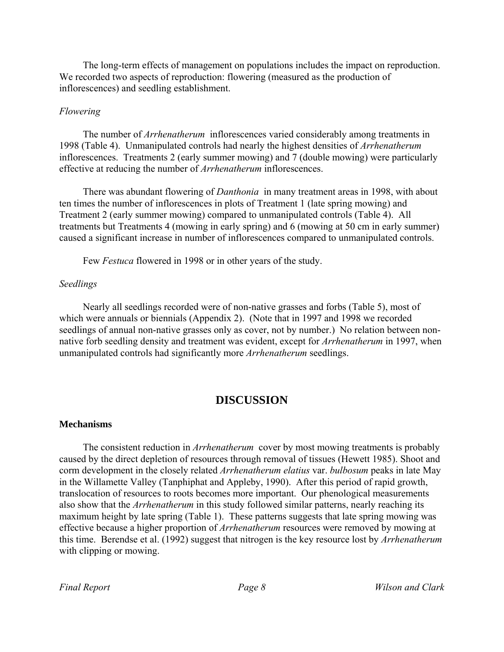The long-term effects of management on populations includes the impact on reproduction. We recorded two aspects of reproduction: flowering (measured as the production of inflorescences) and seedling establishment.

#### *Flowering*

The number of *Arrhenatherum* inflorescences varied considerably among treatments in 1998 (Table 4). Unmanipulated controls had nearly the highest densities of *Arrhenatherum* inflorescences. Treatments 2 (early summer mowing) and 7 (double mowing) were particularly effective at reducing the number of *Arrhenatherum* inflorescences.

There was abundant flowering of *Danthonia* in many treatment areas in 1998, with about ten times the number of inflorescences in plots of Treatment 1 (late spring mowing) and Treatment 2 (early summer mowing) compared to unmanipulated controls (Table 4). All treatments but Treatments 4 (mowing in early spring) and 6 (mowing at 50 cm in early summer) caused a significant increase in number of inflorescences compared to unmanipulated controls.

Few *Festuca* flowered in 1998 or in other years of the study.

#### *Seedlings*

Nearly all seedlings recorded were of non-native grasses and forbs (Table 5), most of which were annuals or biennials (Appendix 2). (Note that in 1997 and 1998 we recorded seedlings of annual non-native grasses only as cover, not by number.) No relation between nonnative forb seedling density and treatment was evident, except for *Arrhenatherum* in 1997, when unmanipulated controls had significantly more *Arrhenatherum* seedlings.

### **DISCUSSION**

#### **Mechanisms**

The consistent reduction in *Arrhenatherum* cover by most mowing treatments is probably caused by the direct depletion of resources through removal of tissues (Hewett 1985). Shoot and corm development in the closely related *Arrhenatherum elatius* var. *bulbosum* peaks in late May in the Willamette Valley (Tanphiphat and Appleby, 1990). After this period of rapid growth, translocation of resources to roots becomes more important. Our phenological measurements also show that the *Arrhenatherum* in this study followed similar patterns, nearly reaching its maximum height by late spring (Table 1). These patterns suggests that late spring mowing was effective because a higher proportion of *Arrhenatherum* resources were removed by mowing at this time. Berendse et al. (1992) suggest that nitrogen is the key resource lost by *Arrhenatherum* with clipping or mowing.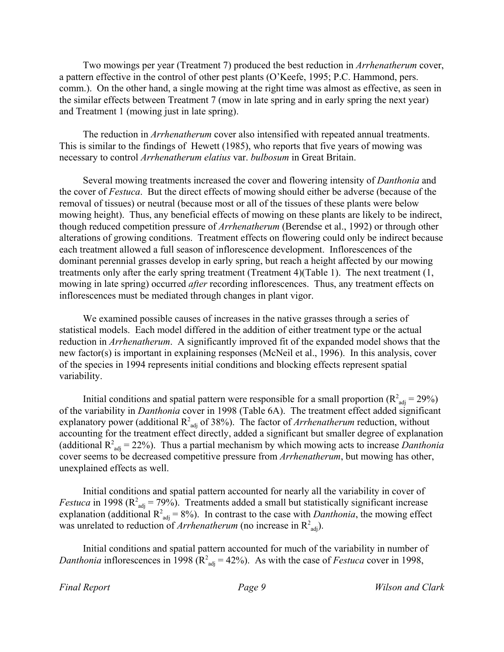Two mowings per year (Treatment 7) produced the best reduction in *Arrhenatherum* cover, a pattern effective in the control of other pest plants (O'Keefe, 1995; P.C. Hammond, pers. comm.). On the other hand, a single mowing at the right time was almost as effective, as seen in the similar effects between Treatment 7 (mow in late spring and in early spring the next year) and Treatment 1 (mowing just in late spring).

The reduction in *Arrhenatherum* cover also intensified with repeated annual treatments. This is similar to the findings of Hewett (1985), who reports that five years of mowing was necessary to control *Arrhenatherum elatius* var. *bulbosum* in Great Britain.

Several mowing treatments increased the cover and flowering intensity of *Danthonia* and the cover of *Festuca*. But the direct effects of mowing should either be adverse (because of the removal of tissues) or neutral (because most or all of the tissues of these plants were below mowing height). Thus, any beneficial effects of mowing on these plants are likely to be indirect, though reduced competition pressure of *Arrhenatherum* (Berendse et al., 1992) or through other alterations of growing conditions. Treatment effects on flowering could only be indirect because each treatment allowed a full season of inflorescence development. Inflorescences of the dominant perennial grasses develop in early spring, but reach a height affected by our mowing treatments only after the early spring treatment (Treatment 4)(Table 1). The next treatment (1, mowing in late spring) occurred *after* recording inflorescences. Thus, any treatment effects on inflorescences must be mediated through changes in plant vigor.

We examined possible causes of increases in the native grasses through a series of statistical models. Each model differed in the addition of either treatment type or the actual reduction in *Arrhenatherum*. A significantly improved fit of the expanded model shows that the new factor(s) is important in explaining responses (McNeil et al., 1996). In this analysis, cover of the species in 1994 represents initial conditions and blocking effects represent spatial variability.

Initial conditions and spatial pattern were responsible for a small proportion ( $R^2_{adj} = 29\%)$ of the variability in *Danthonia* cover in 1998 (Table 6A). The treatment effect added significant explanatory power (additional  $R^2_{adj}$  of 38%). The factor of *Arrhenatherum* reduction, without accounting for the treatment effect directly, added a significant but smaller degree of explanation (additional  $R^2_{adj} = 22\%$ ). Thus a partial mechanism by which mowing acts to increase *Danthonia* cover seems to be decreased competitive pressure from *Arrhenatherum*, but mowing has other, unexplained effects as well.

Initial conditions and spatial pattern accounted for nearly all the variability in cover of *Festuca* in 1998 ( $R^2_{\text{adj}} = 79\%$ ). Treatments added a small but statistically significant increase explanation (additional  $R^2_{adj} = 8\%$ ). In contrast to the case with *Danthonia*, the mowing effect was unrelated to reduction of *Arrhenatherum* (no increase in  $R^2_{\text{adj}}$ ).

Initial conditions and spatial pattern accounted for much of the variability in number of *Danthonia* inflorescences in 1998 ( $R^2_{adj} = 42\%$ ). As with the case of *Festuca* cover in 1998,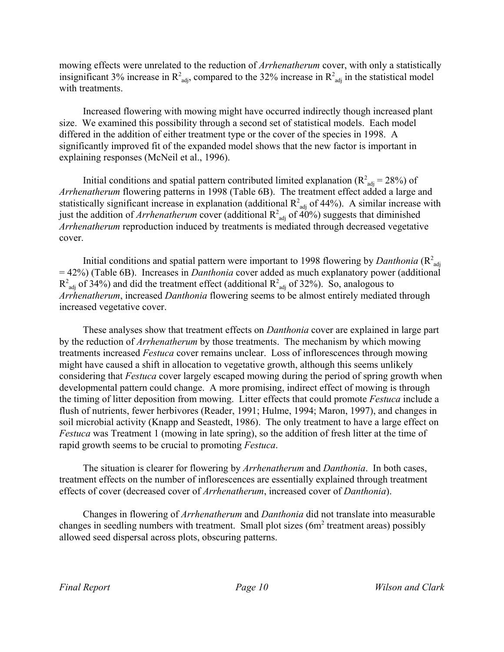mowing effects were unrelated to the reduction of *Arrhenatherum* cover, with only a statistically insignificant 3% increase in  $R^2_{\text{adj}}$ , compared to the 32% increase in  $R^2_{\text{adj}}$  in the statistical model with treatments.

Increased flowering with mowing might have occurred indirectly though increased plant size. We examined this possibility through a second set of statistical models. Each model differed in the addition of either treatment type or the cover of the species in 1998. A significantly improved fit of the expanded model shows that the new factor is important in explaining responses (McNeil et al., 1996).

Initial conditions and spatial pattern contributed limited explanation ( $R^2_{\text{adj}} = 28\%$ ) of *Arrhenatherum* flowering patterns in 1998 (Table 6B). The treatment effect added a large and statistically significant increase in explanation (additional  $R^2_{adj}$  of 44%). A similar increase with just the addition of *Arrhenatherum* cover (additional  $R^2_{adj}$  of 40%) suggests that diminished *Arrhenatherum* reproduction induced by treatments is mediated through decreased vegetative cover.

Initial conditions and spatial pattern were important to 1998 flowering by *Danthonia* ( $R^2_{\text{adj}}$ ) = 42%) (Table 6B). Increases in *Danthonia* cover added as much explanatory power (additional  $R^2_{\text{adj}}$  of 34%) and did the treatment effect (additional  $R^2_{\text{adj}}$  of 32%). So, analogous to *Arrhenatherum*, increased *Danthonia* flowering seems to be almost entirely mediated through increased vegetative cover.

These analyses show that treatment effects on *Danthonia* cover are explained in large part by the reduction of *Arrhenatherum* by those treatments. The mechanism by which mowing treatments increased *Festuca* cover remains unclear. Loss of inflorescences through mowing might have caused a shift in allocation to vegetative growth, although this seems unlikely considering that *Festuca* cover largely escaped mowing during the period of spring growth when developmental pattern could change. A more promising, indirect effect of mowing is through the timing of litter deposition from mowing. Litter effects that could promote *Festuca* include a flush of nutrients, fewer herbivores (Reader, 1991; Hulme, 1994; Maron, 1997), and changes in soil microbial activity (Knapp and Seastedt, 1986). The only treatment to have a large effect on *Festuca* was Treatment 1 (mowing in late spring), so the addition of fresh litter at the time of rapid growth seems to be crucial to promoting *Festuca*.

The situation is clearer for flowering by *Arrhenatherum* and *Danthonia*. In both cases, treatment effects on the number of inflorescences are essentially explained through treatment effects of cover (decreased cover of *Arrhenatherum*, increased cover of *Danthonia*).

Changes in flowering of *Arrhenatherum* and *Danthonia* did not translate into measurable changes in seedling numbers with treatment. Small plot sizes (6m<sup>2</sup> treatment areas) possibly allowed seed dispersal across plots, obscuring patterns.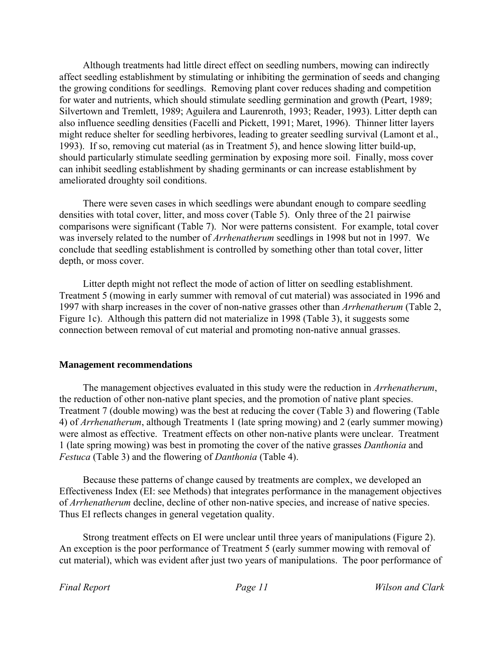Although treatments had little direct effect on seedling numbers, mowing can indirectly affect seedling establishment by stimulating or inhibiting the germination of seeds and changing the growing conditions for seedlings. Removing plant cover reduces shading and competition for water and nutrients, which should stimulate seedling germination and growth (Peart, 1989; Silvertown and Tremlett, 1989; Aguilera and Laurenroth, 1993; Reader, 1993). Litter depth can also influence seedling densities (Facelli and Pickett, 1991; Maret, 1996). Thinner litter layers might reduce shelter for seedling herbivores, leading to greater seedling survival (Lamont et al., 1993). If so, removing cut material (as in Treatment 5), and hence slowing litter build-up, should particularly stimulate seedling germination by exposing more soil. Finally, moss cover can inhibit seedling establishment by shading germinants or can increase establishment by ameliorated droughty soil conditions.

There were seven cases in which seedlings were abundant enough to compare seedling densities with total cover, litter, and moss cover (Table 5). Only three of the 21 pairwise comparisons were significant (Table 7). Nor were patterns consistent. For example, total cover was inversely related to the number of *Arrhenatherum* seedlings in 1998 but not in 1997. We conclude that seedling establishment is controlled by something other than total cover, litter depth, or moss cover.

Litter depth might not reflect the mode of action of litter on seedling establishment. Treatment 5 (mowing in early summer with removal of cut material) was associated in 1996 and 1997 with sharp increases in the cover of non-native grasses other than *Arrhenatherum* (Table 2, Figure 1c). Although this pattern did not materialize in 1998 (Table 3), it suggests some connection between removal of cut material and promoting non-native annual grasses.

#### **Management recommendations**

The management objectives evaluated in this study were the reduction in *Arrhenatherum*, the reduction of other non-native plant species, and the promotion of native plant species. Treatment 7 (double mowing) was the best at reducing the cover (Table 3) and flowering (Table 4) of *Arrhenatherum*, although Treatments 1 (late spring mowing) and 2 (early summer mowing) were almost as effective. Treatment effects on other non-native plants were unclear. Treatment 1 (late spring mowing) was best in promoting the cover of the native grasses *Danthonia* and *Festuca* (Table 3) and the flowering of *Danthonia* (Table 4).

Because these patterns of change caused by treatments are complex, we developed an Effectiveness Index (EI: see Methods) that integrates performance in the management objectives of *Arrhenatherum* decline, decline of other non-native species, and increase of native species. Thus EI reflects changes in general vegetation quality.

Strong treatment effects on EI were unclear until three years of manipulations (Figure 2). An exception is the poor performance of Treatment 5 (early summer mowing with removal of cut material), which was evident after just two years of manipulations. The poor performance of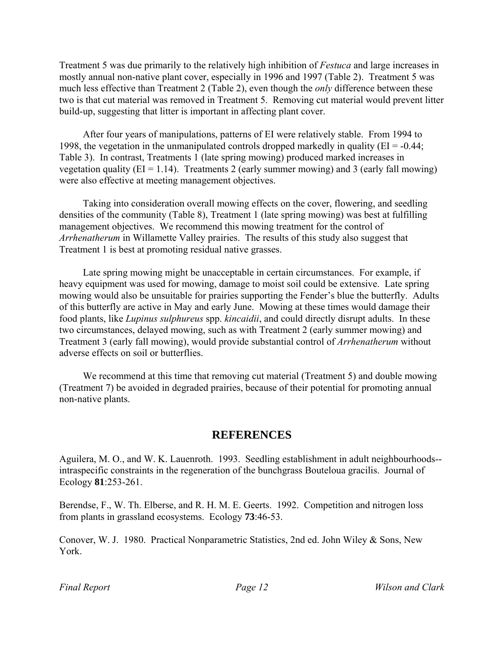Treatment 5 was due primarily to the relatively high inhibition of *Festuca* and large increases in mostly annual non-native plant cover, especially in 1996 and 1997 (Table 2). Treatment 5 was much less effective than Treatment 2 (Table 2), even though the *only* difference between these two is that cut material was removed in Treatment 5. Removing cut material would prevent litter build-up, suggesting that litter is important in affecting plant cover.

After four years of manipulations, patterns of EI were relatively stable. From 1994 to 1998, the vegetation in the unmanipulated controls dropped markedly in quality ( $EI = -0.44$ ; Table 3). In contrast, Treatments 1 (late spring mowing) produced marked increases in vegetation quality ( $EI = 1.14$ ). Treatments 2 (early summer mowing) and 3 (early fall mowing) were also effective at meeting management objectives.

Taking into consideration overall mowing effects on the cover, flowering, and seedling densities of the community (Table 8), Treatment 1 (late spring mowing) was best at fulfilling management objectives. We recommend this mowing treatment for the control of *Arrhenatherum* in Willamette Valley prairies. The results of this study also suggest that Treatment 1 is best at promoting residual native grasses.

Late spring mowing might be unacceptable in certain circumstances. For example, if heavy equipment was used for mowing, damage to moist soil could be extensive. Late spring mowing would also be unsuitable for prairies supporting the Fender's blue the butterfly. Adults of this butterfly are active in May and early June. Mowing at these times would damage their food plants, like *Lupinus sulphureus* spp. *kincaidii*, and could directly disrupt adults. In these two circumstances, delayed mowing, such as with Treatment 2 (early summer mowing) and Treatment 3 (early fall mowing), would provide substantial control of *Arrhenatherum* without adverse effects on soil or butterflies.

We recommend at this time that removing cut material (Treatment 5) and double mowing (Treatment 7) be avoided in degraded prairies, because of their potential for promoting annual non-native plants.

## **REFERENCES**

Aguilera, M. O., and W. K. Lauenroth. 1993. Seedling establishment in adult neighbourhoods- intraspecific constraints in the regeneration of the bunchgrass Bouteloua gracilis. Journal of Ecology **81**:253-261.

Berendse, F., W. Th. Elberse, and R. H. M. E. Geerts. 1992. Competition and nitrogen loss from plants in grassland ecosystems. Ecology **73**:46-53.

Conover, W. J. 1980. Practical Nonparametric Statistics, 2nd ed. John Wiley & Sons, New York.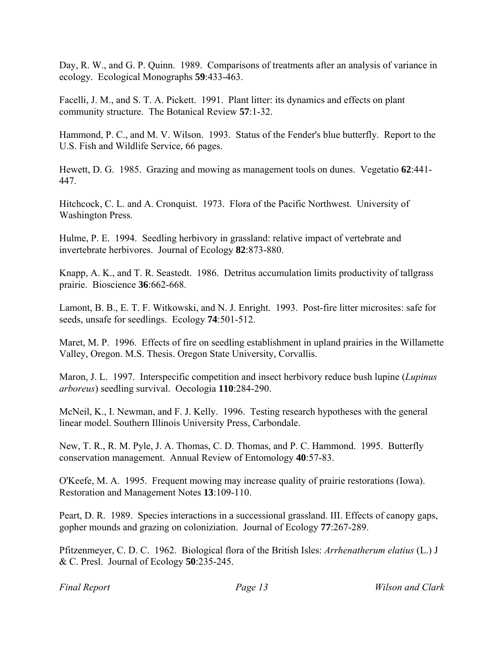Day, R. W., and G. P. Quinn. 1989. Comparisons of treatments after an analysis of variance in ecology. Ecological Monographs **59**:433-463.

Facelli, J. M., and S. T. A. Pickett. 1991. Plant litter: its dynamics and effects on plant community structure. The Botanical Review **57**:1-32.

Hammond, P. C., and M. V. Wilson. 1993. Status of the Fender's blue butterfly. Report to the U.S. Fish and Wildlife Service, 66 pages.

Hewett, D. G. 1985. Grazing and mowing as management tools on dunes. Vegetatio **62**:441- 447.

Hitchcock, C. L. and A. Cronquist. 1973. Flora of the Pacific Northwest. University of Washington Press.

Hulme, P. E. 1994. Seedling herbivory in grassland: relative impact of vertebrate and invertebrate herbivores. Journal of Ecology **82**:873-880.

Knapp, A. K., and T. R. Seastedt. 1986. Detritus accumulation limits productivity of tallgrass prairie. Bioscience **36**:662-668.

Lamont, B. B., E. T. F. Witkowski, and N. J. Enright. 1993. Post-fire litter microsites: safe for seeds, unsafe for seedlings. Ecology **74**:501-512.

Maret, M. P. 1996. Effects of fire on seedling establishment in upland prairies in the Willamette Valley, Oregon. M.S. Thesis. Oregon State University, Corvallis.

Maron, J. L. 1997. Interspecific competition and insect herbivory reduce bush lupine (*Lupinus arboreus*) seedling survival. Oecologia **110**:284-290.

McNeil, K., I. Newman, and F. J. Kelly. 1996. Testing research hypotheses with the general linear model. Southern Illinois University Press, Carbondale.

New, T. R., R. M. Pyle, J. A. Thomas, C. D. Thomas, and P. C. Hammond. 1995. Butterfly conservation management. Annual Review of Entomology **40**:57-83.

O'Keefe, M. A. 1995. Frequent mowing may increase quality of prairie restorations (Iowa). Restoration and Management Notes **13**:109-110.

Peart, D. R. 1989. Species interactions in a successional grassland. III. Effects of canopy gaps, gopher mounds and grazing on coloniziation. Journal of Ecology **77**:267-289.

Pfitzenmeyer, C. D. C. 1962. Biological flora of the British Isles: *Arrhenatherum elatius* (L.) J & C. Presl. Journal of Ecology **50**:235-245.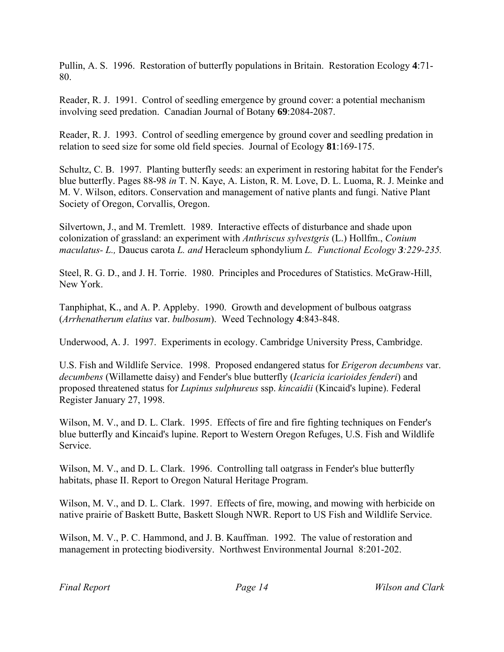Pullin, A. S. 1996. Restoration of butterfly populations in Britain. Restoration Ecology **4**:71- 80.

Reader, R. J. 1991. Control of seedling emergence by ground cover: a potential mechanism involving seed predation. Canadian Journal of Botany **69**:2084-2087.

Reader, R. J. 1993. Control of seedling emergence by ground cover and seedling predation in relation to seed size for some old field species. Journal of Ecology **81**:169-175.

Schultz, C. B. 1997. Planting butterfly seeds: an experiment in restoring habitat for the Fender's blue butterfly. Pages 88-98 *in* T. N. Kaye, A. Liston, R. M. Love, D. L. Luoma, R. J. Meinke and M. V. Wilson, editors. Conservation and management of native plants and fungi. Native Plant Society of Oregon, Corvallis, Oregon.

Silvertown, J., and M. Tremlett. 1989. Interactive effects of disturbance and shade upon colonization of grassland: an experiment with *Anthriscus sylvestgris* (L.) Hollfm., *Conium maculatus- L.,* Daucus carota *L. and* Heracleum sphondylium *L. Functional Ecology 3:229-235.*

Steel, R. G. D., and J. H. Torrie. 1980. Principles and Procedures of Statistics. McGraw-Hill, New York.

Tanphiphat, K., and A. P. Appleby. 1990. Growth and development of bulbous oatgrass (*Arrhenatherum elatius* var. *bulbosum*). Weed Technology **4**:843-848.

Underwood, A. J. 1997. Experiments in ecology. Cambridge University Press, Cambridge.

U.S. Fish and Wildlife Service. 1998. Proposed endangered status for *Erigeron decumbens* var. *decumbens* (Willamette daisy) and Fender's blue butterfly (*Icaricia icarioides fenderi*) and proposed threatened status for *Lupinus sulphureus* ssp. *kincaidii* (Kincaid's lupine). Federal Register January 27, 1998.

Wilson, M. V., and D. L. Clark. 1995. Effects of fire and fire fighting techniques on Fender's blue butterfly and Kincaid's lupine. Report to Western Oregon Refuges, U.S. Fish and Wildlife Service.

Wilson, M. V., and D. L. Clark. 1996. Controlling tall oatgrass in Fender's blue butterfly habitats, phase II. Report to Oregon Natural Heritage Program.

Wilson, M. V., and D. L. Clark. 1997. Effects of fire, mowing, and mowing with herbicide on native prairie of Baskett Butte, Baskett Slough NWR. Report to US Fish and Wildlife Service.

Wilson, M. V., P. C. Hammond, and J. B. Kauffman. 1992. The value of restoration and management in protecting biodiversity. Northwest Environmental Journal 8:201-202.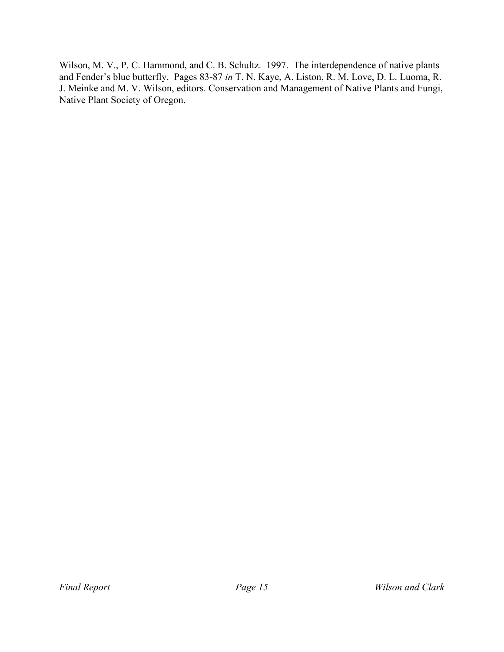Wilson, M. V., P. C. Hammond, and C. B. Schultz. 1997. The interdependence of native plants and Fender's blue butterfly. Pages 83-87 *in* T. N. Kaye, A. Liston, R. M. Love, D. L. Luoma, R. J. Meinke and M. V. Wilson, editors. Conservation and Management of Native Plants and Fungi, Native Plant Society of Oregon.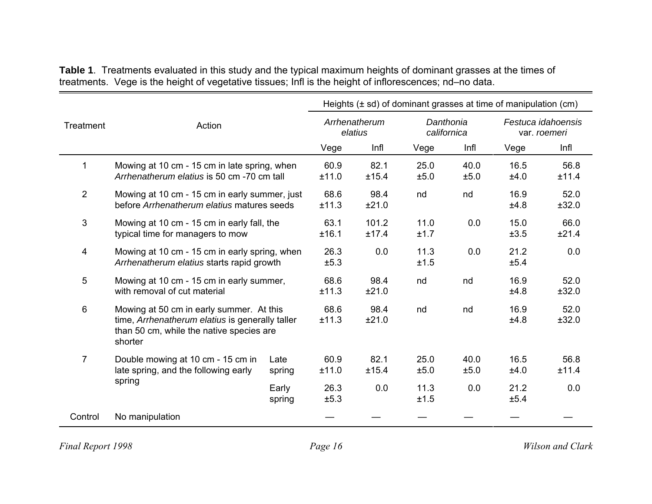| Table 1. Treatments evaluated in this study and the typical maximum heights of dominant grasses at the times of |  |  |
|-----------------------------------------------------------------------------------------------------------------|--|--|
| treatments. Vege is the height of vegetative tissues; Infl is the height of inflorescences; nd-no data.         |  |  |

|                |                                                                                                                                                    |                 |               |                          |                          |              | Heights $(\pm s d)$ of dominant grasses at time of manipulation (cm) |                                    |
|----------------|----------------------------------------------------------------------------------------------------------------------------------------------------|-----------------|---------------|--------------------------|--------------------------|--------------|----------------------------------------------------------------------|------------------------------------|
| Treatment      | Action                                                                                                                                             |                 |               | Arrhenatherum<br>elatius | Danthonia<br>californica |              |                                                                      | Festuca idahoensis<br>var. roemeri |
|                |                                                                                                                                                    |                 | Vege          | Infl                     | Vege                     | Infl         | Vege                                                                 | Infl                               |
| 1              | Mowing at 10 cm - 15 cm in late spring, when<br>Arrhenatherum elatius is 50 cm -70 cm tall                                                         |                 | 60.9<br>±11.0 | 82.1<br>±15.4            | 25.0<br>±5.0             | 40.0<br>±5.0 | 16.5<br>±4.0                                                         | 56.8<br>±11.4                      |
| $\overline{2}$ | Mowing at 10 cm - 15 cm in early summer, just<br>before Arrhenatherum elatius matures seeds                                                        | 68.6<br>±11.3   | 98.4<br>±21.0 | nd                       | nd                       | 16.9<br>±4.8 | 52.0<br>±32.0                                                        |                                    |
| 3              | Mowing at 10 cm - 15 cm in early fall, the<br>typical time for managers to mow                                                                     |                 | 63.1<br>±16.1 | 101.2<br>±17.4           | 11.0<br>±1.7             | 0.0          | 15.0<br>±3.5                                                         | 66.0<br>±21.4                      |
| 4              | Mowing at 10 cm - 15 cm in early spring, when<br>Arrhenatherum elatius starts rapid growth                                                         | 26.3<br>±5.3    | 0.0           | 11.3<br>±1.5             | 0.0                      | 21.2<br>±5.4 | 0.0                                                                  |                                    |
| 5              | Mowing at 10 cm - 15 cm in early summer,<br>with removal of cut material                                                                           |                 | 68.6<br>±11.3 | 98.4<br>±21.0            | nd                       | nd           | 16.9<br>±4.8                                                         | 52.0<br>±32.0                      |
| 6              | Mowing at 50 cm in early summer. At this<br>time, Arrhenatherum elatius is generally taller<br>than 50 cm, while the native species are<br>shorter |                 | 68.6<br>±11.3 | 98.4<br>±21.0            | nd                       | nd           | 16.9<br>±4.8                                                         | 52.0<br>±32.0                      |
| 7              | Double mowing at 10 cm - 15 cm in<br>late spring, and the following early                                                                          | Late<br>spring  | 60.9<br>±11.0 | 82.1<br>±15.4            | 25.0<br>±5.0             | 40.0<br>±5.0 | 16.5<br>±4.0                                                         | 56.8<br>±11.4                      |
|                | spring                                                                                                                                             | Early<br>spring | 26.3<br>±5.3  | 0.0                      | 11.3<br>±1.5             | 0.0          | 21.2<br>±5.4                                                         | 0.0                                |
| Control        | No manipulation                                                                                                                                    |                 |               |                          |                          |              |                                                                      |                                    |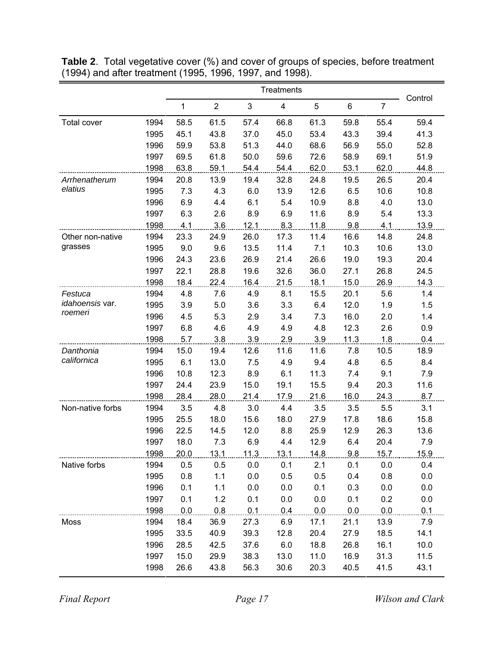|                        |      |      |                | Control |      |      |      |                |      |
|------------------------|------|------|----------------|---------|------|------|------|----------------|------|
|                        |      | 1    | $\overline{2}$ | 3       | 4    | 5    | 6    | $\overline{7}$ |      |
| <b>Total cover</b>     | 1994 | 58.5 | 61.5           | 57.4    | 66.8 | 61.3 | 59.8 | 55.4           | 59.4 |
|                        | 1995 | 45.1 | 43.8           | 37.0    | 45.0 | 53.4 | 43.3 | 39.4           | 41.3 |
|                        | 1996 | 59.9 | 53.8           | 51.3    | 44.0 | 68.6 | 56.9 | 55.0           | 52.8 |
|                        | 1997 | 69.5 | 61.8           | 50.0    | 59.6 | 72.6 | 58.9 | 69.1           | 51.9 |
|                        | 1998 | 63.8 | 59.1           | 54.4    | 54.4 | 62.0 | 53.1 | 62.0           | 44.8 |
| Arrhenatherum          | 1994 | 20.8 | 13.9           | 19.4    | 32.8 | 24.8 | 19.5 | 26.5           | 20.4 |
| elatius                | 1995 | 7.3  | 4.3            | 6.0     | 13.9 | 12.6 | 6.5  | 10.6           | 10.8 |
|                        | 1996 | 6.9  | 4.4            | 6.1     | 5.4  | 10.9 | 8.8  | 4.0            | 13.0 |
|                        | 1997 | 6.3  | 2.6            | 8.9     | 6.9  | 11.6 | 8.9  | 5.4            | 13.3 |
|                        | 1998 | 4.1  | 3.6            | 12.1    | 8.3  | 11.8 | 9.8  | 4.1            | 13.9 |
| Other non-native       | 1994 | 23.3 | 24.9           | 26.0    | 17.3 | 11.4 | 16.6 | 14.8           | 24.8 |
| grasses                | 1995 | 9.0  | 9.6            | 13.5    | 11.4 | 7.1  | 10.3 | 10.6           | 13.0 |
|                        | 1996 | 24.3 | 23.6           | 26.9    | 21.4 | 26.6 | 19.0 | 19.3           | 20.4 |
|                        | 1997 | 22.1 | 28.8           | 19.6    | 32.6 | 36.0 | 27.1 | 26.8           | 24.5 |
|                        | 1998 | 18.4 | 22.4           | 16.4    | 21.5 | 18.1 | 15.0 | 26.9           | 14.3 |
| Festuca                | 1994 | 4.8  | 7.6            | 4.9     | 8.1  | 15.5 | 20.1 | 5.6            | 1.4  |
| <i>idahoensis</i> var. | 1995 | 3.9  | 5.0            | 3.6     | 3.3  | 6.4  | 12.0 | 1.9            | 1.5  |
| roemeri                | 1996 | 4.5  | 5.3            | 2.9     | 3.4  | 7.3  | 16.0 | 2.0            | 1.4  |
|                        | 1997 | 6.8  | 4.6            | 4.9     | 4.9  | 4.8  | 12.3 | 2.6            | 0.9  |
|                        | 1998 | 5.7  | 3.8            | 3.9     | 2.9  | 3.9  | 11.3 | 1.8            | 0.4  |
| Danthonia              | 1994 | 15.0 | 19.4           | 12.6    | 11.6 | 11.6 | 7.8  | 10.5           | 18.9 |
| californica            | 1995 | 6.1  | 13.0           | 7.5     | 4.9  | 9.4  | 4.8  | 6.5            | 8.4  |
|                        | 1996 | 10.8 | 12.3           | 8.9     | 6.1  | 11.3 | 7.4  | 9.1            | 7.9  |
|                        | 1997 | 24.4 | 23.9           | 15.0    | 19.1 | 15.5 | 9.4  | 20.3           | 11.6 |
|                        | 1998 | 28.4 | 28.0           | 21.4    | 17.9 | 21.6 | 16.0 | 24.3           | 8.7  |
| Non-native forbs       | 1994 | 3.5  | 4.8            | 3.0     | 4.4  | 3.5  | 3.5  | 5.5            | 3.1  |
|                        | 1995 | 25.5 | 18.0           | 15.6    | 18.0 | 27.9 | 17.8 | 18.6           | 15.8 |
|                        | 1996 | 22.5 | 14.5           | 12.0    | 8.8  | 25.9 | 12.9 | 26.3           | 13.6 |
|                        | 1997 | 18.0 | 7.3            | 6.9     | 4.4  | 12.9 | 6.4  | 20.4           | 7.9  |
|                        | 1998 | 20.0 | 13.1           | 11.3    | 13.1 | 14.8 | 9.8  | 15.7           | 15.9 |
| Native forbs           | 1994 | 0.5  | 0.5            | 0.0     | 0.1  | 2.1  | 0.1  | 0.0            | 0.4  |
|                        | 1995 | 0.8  | 1.1            | 0.0     | 0.5  | 0.5  | 0.4  | 0.8            | 0.0  |
|                        | 1996 | 0.1  | 1.1            | 0.0     | 0.0  | 0.1  | 0.3  | 0.0            | 0.0  |
|                        | 1997 | 0.1  | 1.2            | 0.1     | 0.0  | 0.0  | 0.1  | 0.2            | 0.0  |
|                        | 1998 | 0.0  | 0.8            | 0.1     | 0.4  | 0.0  | 0.0  | 0.0            | 0.1  |
| Moss                   | 1994 | 18.4 | 36.9           | 27.3    | 6.9  | 17.1 | 21.1 | 13.9           | 7.9  |
|                        | 1995 | 33.5 | 40.9           | 39.3    | 12.8 | 20.4 | 27.9 | 18.5           | 14.1 |
|                        | 1996 | 28.5 | 42.5           | 37.6    | 6.0  | 18.8 | 26.8 | 16.1           | 10.0 |
|                        | 1997 | 15.0 | 29.9           | 38.3    | 13.0 | 11.0 | 16.9 | 31.3           | 11.5 |
|                        | 1998 | 26.6 | 43.8           | 56.3    | 30.6 | 20.3 | 40.5 | 41.5           | 43.1 |

**Table 2**. Total vegetative cover (%) and cover of groups of species, before treatment (1994) and after treatment (1995, 1996, 1997, and 1998).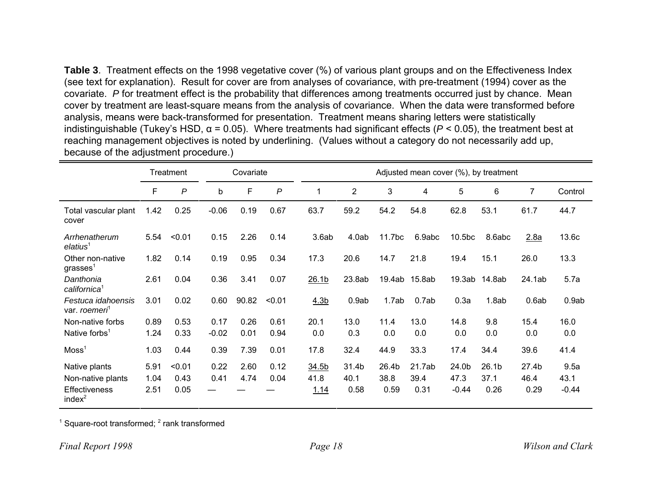**Table 3**. Treatment effects on the 1998 vegetative cover (%) of various plant groups and on the Effectiveness Index (see text for explanation). Result for cover are from analyses of covariance, with pre-treatment (1994) cover as the covariate. *P* for treatment effect is the probability that differences among treatments occurred just by chance. Mean cover by treatment are least-square means from the analysis of covariance. When the data were transformed before analysis, means were back-transformed for presentation. Treatment means sharing letters were statistically indistinguishable (Tukey's HSD, <sup>α</sup> = 0.05). Where treatments had significant effects ( *P* < 0.05), the treatment best at reaching management objectives is noted by underlining. (Values without a category do not necessarily add up, because of the adjustment procedure.)

|                                                 | Treatment |                |             | Covariate |              |                   |                |        | Adjusted mean cover (%), by treatment |         |                   |                |         |
|-------------------------------------------------|-----------|----------------|-------------|-----------|--------------|-------------------|----------------|--------|---------------------------------------|---------|-------------------|----------------|---------|
|                                                 | F         | $\overline{P}$ | $\mathsf b$ | F         | $\mathsf{P}$ | 1                 | $\overline{2}$ | 3      | 4                                     | 5       | 6                 | $\overline{7}$ | Control |
| Total vascular plant<br>cover                   | 1.42      | 0.25           | $-0.06$     | 0.19      | 0.67         | 63.7              | 59.2           | 54.2   | 54.8                                  | 62.8    | 53.1              | 61.7           | 44.7    |
| Arrhenatherum<br>elatius <sup>1</sup>           | 5.54      | < 0.01         | 0.15        | 2.26      | 0.14         | 3.6ab             | 4.0ab          | 11.7bc | 6.9abc                                | 10.5bc  | 8.6abc            | 2.8a           | 13.6c   |
| Other non-native<br>grasses <sup>1</sup>        | 1.82      | 0.14           | 0.19        | 0.95      | 0.34         | 17.3              | 20.6           | 14.7   | 21.8                                  | 19.4    | 15.1              | 26.0           | 13.3    |
| Danthonia<br>californica <sup>1</sup>           | 2.61      | 0.04           | 0.36        | 3.41      | 0.07         | 26.1 <sub>b</sub> | 23.8ab         |        | 19.4ab 15.8ab                         |         | 19.3ab 14.8ab     | 24.1ab         | 5.7a    |
| Festuca idahoensis<br>var. roemeri <sup>1</sup> | 3.01      | 0.02           | 0.60        | 90.82     | < 0.01       | 4.3 <sub>b</sub>  | 0.9ab          | 1.7ab  | 0.7ab                                 | 0.3a    | 1.8ab             | 0.6ab          | 0.9ab   |
| Non-native forbs                                | 0.89      | 0.53           | 0.17        | 0.26      | 0.61         | 20.1              | 13.0           | 11.4   | 13.0                                  | 14.8    | 9.8               | 15.4           | 16.0    |
| Native forbs <sup>1</sup>                       | 1.24      | 0.33           | $-0.02$     | 0.01      | 0.94         | 0.0               | 0.3            | 0.0    | 0.0                                   | 0.0     | 0.0               | 0.0            | 0.0     |
| $M$ oss <sup>1</sup>                            | 1.03      | 0.44           | 0.39        | 7.39      | 0.01         | 17.8              | 32.4           | 44.9   | 33.3                                  | 17.4    | 34.4              | 39.6           | 41.4    |
| Native plants                                   | 5.91      | < 0.01         | 0.22        | 2.60      | 0.12         | 34.5b             | 31.4b          | 26.4b  | 21.7ab                                | 24.0b   | 26.1 <sub>b</sub> | 27.4b          | 9.5a    |
| Non-native plants                               | 1.04      | 0.43           | 0.41        | 4.74      | 0.04         | 41.8              | 40.1           | 38.8   | 39.4                                  | 47.3    | 37.1              | 46.4           | 43.1    |
| <b>Effectiveness</b><br>index <sup>2</sup>      | 2.51      | 0.05           |             |           |              | 1.14              | 0.58           | 0.59   | 0.31                                  | $-0.44$ | 0.26              | 0.29           | $-0.44$ |

 $<sup>1</sup>$  Square-root transformed;  $<sup>2</sup>$  rank transformed</sup></sup>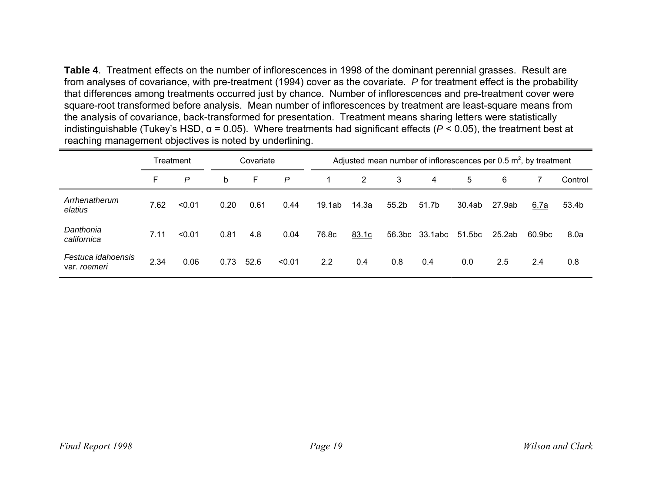**Table 4**. Treatment effects on the number of inflorescences in 1998 of the dominant perennial grasses. Result are from analyses of covariance, with pre-treatment (1994) cover as the covariate. *P* for treatment effect is the probability that differences among treatments occurred just by chance. Number of inflorescences and pre-treatment cover were square-root transformed before analysis. Mean number of inflorescences by treatment are least-square means from the analysis of covariance, back-transformed for presentation. Treatment means sharing letters were statistically indistinguishable (Tukey's HSD, <sup>α</sup> = 0.05). Where treatments had significant effects ( *P* < 0.05), the treatment best at reaching management objectives is noted by underlining.

|                                    | Treatment |        |      | Covariate |        |        | Adjusted mean number of inflorescences per 0.5 $m^2$ , by treatment |       |                |        |        |        |         |
|------------------------------------|-----------|--------|------|-----------|--------|--------|---------------------------------------------------------------------|-------|----------------|--------|--------|--------|---------|
|                                    | F         | P      | b    | F         | P      |        | 2                                                                   | 3     | 4              | 5      | 6      |        | Control |
| Arrhenatherum<br>elatius           | 7.62      | < 0.01 | 0.20 | 0.61      | 0.44   | 19.1ab | 14.3a                                                               | 55.2b | 51.7b          | 30.4ab | 27.9ab | 6.7a   | 53.4b   |
| Danthonia<br>californica           | 7.11      | < 0.01 | 0.81 | 4.8       | 0.04   | 76.8c  | 83.1c                                                               |       | 56.3bc 33.1abc | 51.5bc | 25.2ab | 60.9bc | 8.0a    |
| Festuca idahoensis<br>var. roemeri | 2.34      | 0.06   | 0.73 | 52.6      | < 0.01 | 2.2    | 0.4                                                                 | 0.8   | 0.4            | 0.0    | 2.5    | 2.4    | 0.8     |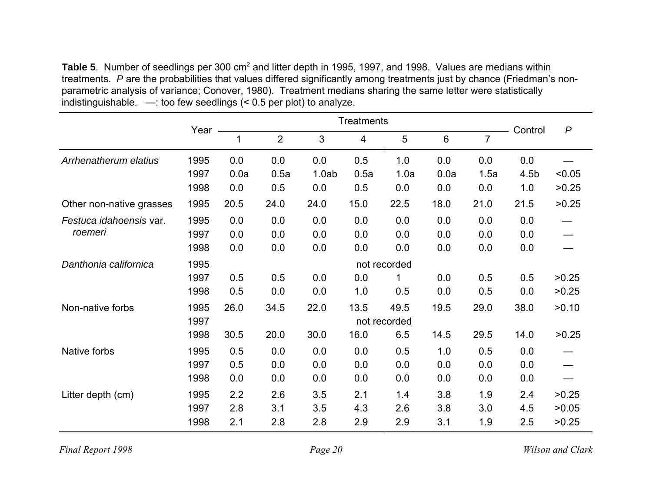Table 5. Number of seedlings per 300 cm<sup>2</sup> and litter depth in 1995, 1997, and 1998. Values are medians within treatments. *P* are the probabilities that values differed significantly among treatments just by chance (Friedman's nonparametric analysis of variance; Conover, 1980). Treatment medians sharing the same letter were statistically indistinguishable. —: too few seedlings (< 0.5 per plot) to analyze.

|                          | Year |      | <b>Treatments</b> |                |                |              |                |      |                  |                  |
|--------------------------|------|------|-------------------|----------------|----------------|--------------|----------------|------|------------------|------------------|
|                          |      | 1    | $\overline{2}$    | $\mathfrak{S}$ | $\overline{4}$ | 5            | $6\phantom{1}$ | 7    | Control          | $\boldsymbol{P}$ |
| Arrhenatherum elatius    | 1995 | 0.0  | 0.0               | 0.0            | 0.5            | 1.0          | 0.0            | 0.0  | 0.0              |                  |
|                          | 1997 | 0.0a | 0.5a              | 1.0ab          | 0.5a           | 1.0a         | 0.0a           | 1.5a | 4.5 <sub>b</sub> | < 0.05           |
|                          | 1998 | 0.0  | 0.5               | 0.0            | 0.5            | 0.0          | 0.0            | 0.0  | 1.0              | >0.25            |
| Other non-native grasses | 1995 | 20.5 | 24.0              | 24.0           | 15.0           | 22.5         | 18.0           | 21.0 | 21.5             | >0.25            |
| Festuca idahoensis var.  | 1995 | 0.0  | 0.0               | 0.0            | 0.0            | 0.0          | 0.0            | 0.0  | 0.0              |                  |
| roemeri                  | 1997 | 0.0  | 0.0               | 0.0            | 0.0            | 0.0          | 0.0            | 0.0  | 0.0              |                  |
|                          | 1998 | 0.0  | 0.0               | 0.0            | 0.0            | 0.0          | 0.0            | 0.0  | 0.0              |                  |
| Danthonia californica    | 1995 |      |                   |                |                | not recorded |                |      |                  |                  |
|                          | 1997 | 0.5  | 0.5               | 0.0            | 0.0            | 1            | 0.0            | 0.5  | 0.5              | >0.25            |
|                          | 1998 | 0.5  | 0.0               | 0.0            | 1.0            | 0.5          | 0.0            | 0.5  | 0.0              | >0.25            |
| Non-native forbs         | 1995 | 26.0 | 34.5              | 22.0           | 13.5           | 49.5         | 19.5           | 29.0 | 38.0             | >0.10            |
|                          | 1997 |      |                   |                |                | not recorded |                |      |                  |                  |
|                          | 1998 | 30.5 | 20.0              | 30.0           | 16.0           | 6.5          | 14.5           | 29.5 | 14.0             | >0.25            |
| Native forbs             | 1995 | 0.5  | 0.0               | 0.0            | 0.0            | 0.5          | 1.0            | 0.5  | 0.0              |                  |
|                          | 1997 | 0.5  | 0.0               | 0.0            | 0.0            | 0.0          | 0.0            | 0.0  | 0.0              |                  |
|                          | 1998 | 0.0  | 0.0               | 0.0            | 0.0            | 0.0          | 0.0            | 0.0  | 0.0              |                  |
| Litter depth (cm)        | 1995 | 2.2  | 2.6               | 3.5            | 2.1            | 1.4          | 3.8            | 1.9  | 2.4              | >0.25            |
|                          | 1997 | 2.8  | 3.1               | 3.5            | 4.3            | 2.6          | 3.8            | 3.0  | 4.5              | >0.05            |
|                          | 1998 | 2.1  | 2.8               | 2.8            | 2.9            | 2.9          | 3.1            | 1.9  | 2.5              | >0.25            |

*Final Report 1998 Page 20 Wilson and Clark*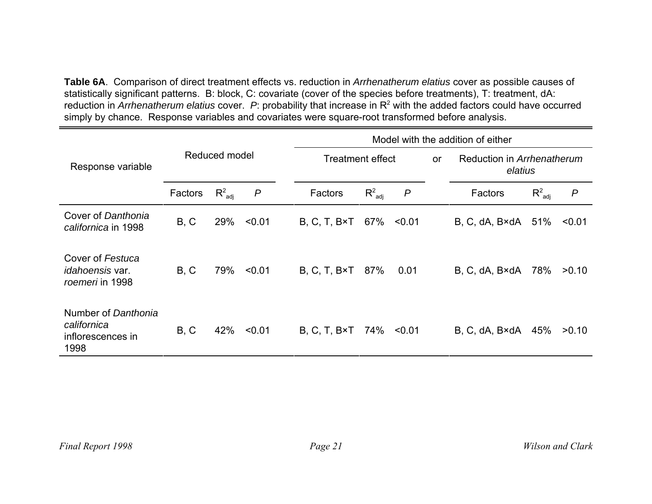**Table 6A**. Comparison of direct treatment effects vs. reduction in *Arrhenatherum elatius* cover as possible causes of statistically significant patterns. B: block, C: covariate (cover of the species before treatments), T: treatment, dA: reduction in *Arrhenatherum elatius* cover. *<sup>P</sup>*: probability that increase in R2 with the added factors could have occurred simply by chance. Response variables and covariates were square-root transformed before analysis.

|                                                                 |         |               |                  | Model with the addition of either |                    |                  |           |                                       |             |                  |
|-----------------------------------------------------------------|---------|---------------|------------------|-----------------------------------|--------------------|------------------|-----------|---------------------------------------|-------------|------------------|
| Response variable                                               |         | Reduced model |                  | <b>Treatment effect</b>           |                    |                  | <b>or</b> | Reduction in Arrhenatherum<br>elatius |             |                  |
|                                                                 | Factors | $R^2_{adi}$   | $\boldsymbol{P}$ | Factors                           | $R^2_{\text{adj}}$ | $\boldsymbol{P}$ |           | Factors                               | $R^2_{adj}$ | $\boldsymbol{P}$ |
| Cover of Danthonia<br>californica in 1998                       | B, C    | 29%           | < 0.01           | $B, C, T, B \times T$             | 67%                | < 0.01           |           | B, C, dA, B×dA                        | 51%         | < 0.01           |
| Cover of Festuca<br><i>idahoensis</i> var.<br>roemeri in 1998   | B, C    | 79%           | < 0.01           | $B, C, T, B \times T$             | 87%                | 0.01             |           | B, C, dA, B×dA                        | 78%         | >0.10            |
| Number of Danthonia<br>californica<br>inflorescences in<br>1998 | B, C    | 42%           | < 0.01           | $B, C, T, B \times T$             | 74%                | < 0.01           |           | B, C, dA, B×dA                        | 45%         | >0.10            |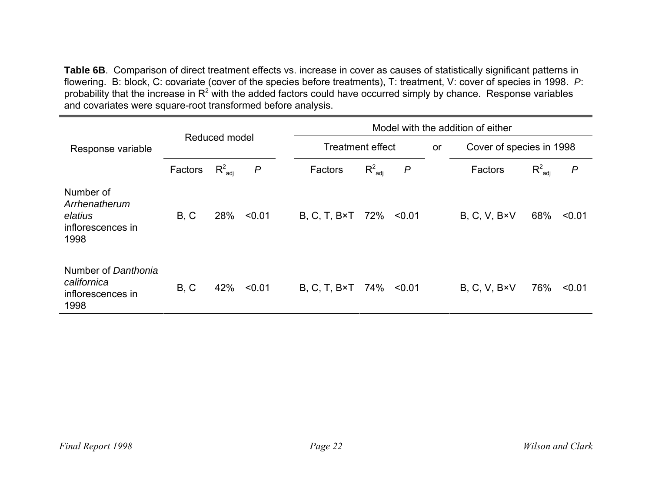**Table 6B**. Comparison of direct treatment effects vs. increase in cover as causes of statistically significant patterns in flowering. B: block, C: covariate (cover of the species before treatments), T: treatment, V: cover of species in 1998. *P*: probability that the increase in  $R^2$  with the added factors could have occurred simply by chance. Response variables and covariates were square-root transformed before analysis.

|                                                                    |         |                    |        | Model with the addition of either |                                                                  |                  |  |                       |                    |                  |
|--------------------------------------------------------------------|---------|--------------------|--------|-----------------------------------|------------------------------------------------------------------|------------------|--|-----------------------|--------------------|------------------|
| Response variable                                                  |         | Reduced model      |        |                                   | <b>Treatment effect</b><br>Cover of species in 1998<br><b>or</b> |                  |  |                       |                    |                  |
|                                                                    | Factors | $R^2_{\text{adi}}$ | P      | Factors                           | $R^2_{\text{adj}}$                                               | $\boldsymbol{P}$ |  | Factors               | $R^2_{\text{adj}}$ | $\boldsymbol{P}$ |
| Number of<br>Arrhenatherum<br>elatius<br>inflorescences in<br>1998 | B, C    | 28%                | < 0.01 | $B, C, T, B \times T$             | 72%                                                              | < 0.01           |  | $B, C, V, B \times V$ | 68%                | < 0.01           |
| Number of Danthonia<br>californica<br>inflorescences in<br>1998    | B, C    | 42%                | < 0.01 | $B, C, T, B \times T$             | 74%                                                              | < 0.01           |  | $B, C, V, B \times V$ | 76%                | < 0.01           |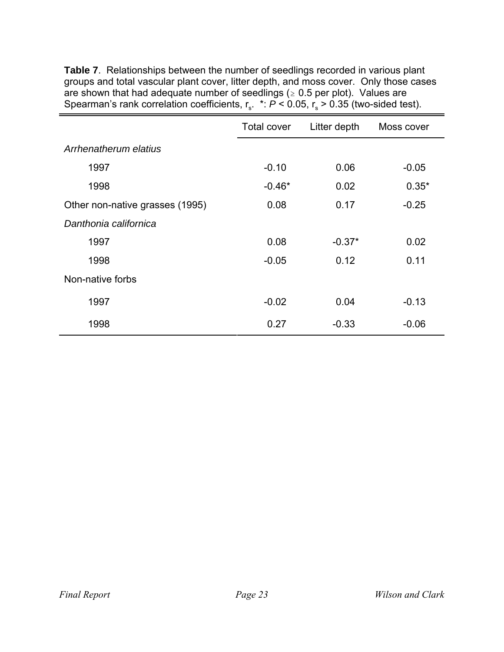|                                 | <b>Total cover</b> | Litter depth | Moss cover |
|---------------------------------|--------------------|--------------|------------|
| Arrhenatherum elatius           |                    |              |            |
| 1997                            | $-0.10$            | 0.06         | $-0.05$    |
| 1998                            | $-0.46*$           | 0.02         | $0.35*$    |
| Other non-native grasses (1995) | 0.08               | 0.17         | $-0.25$    |
| Danthonia californica           |                    |              |            |
| 1997                            | 0.08               | $-0.37*$     | 0.02       |
| 1998                            | $-0.05$            | 0.12         | 0.11       |
| Non-native forbs                |                    |              |            |
| 1997                            | $-0.02$            | 0.04         | $-0.13$    |
| 1998                            | 0.27               | $-0.33$      | $-0.06$    |

**Table 7**. Relationships between the number of seedlings recorded in various plant groups and total vascular plant cover, litter depth, and moss cover. Only those cases are shown that had adequate number of seedlings ( $\geq 0.5$  per plot). Values are Spearman's rank correlation coefficients,  $r_s$ . \*:  $\overline{P}$  < 0.05,  $r_s$  > 0.35 (two-sided test).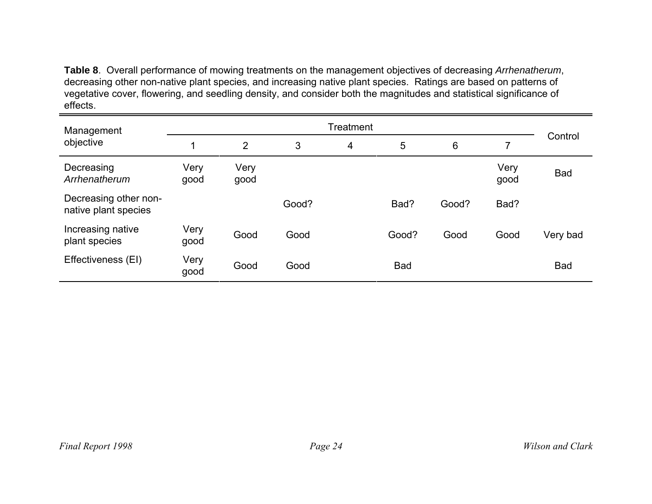**Table 8**. Overall performance of mowing treatments on the management objectives of decreasing *Arrhenatherum*, decreasing other non-native plant species, and increasing native plant species. Ratings are based on patterns of vegetative cover, flowering, and seedling density, and consider both the magnitudes and statistical significance of effects.

| Management                                    |              |                |       | Treatment |            |       |              |            |
|-----------------------------------------------|--------------|----------------|-------|-----------|------------|-------|--------------|------------|
| objective                                     |              | $\overline{2}$ | 3     | 4         | 5          | 6     |              | Control    |
| Decreasing<br>Arrhenatherum                   | Very<br>good | Very<br>good   |       |           |            |       | Very<br>good | <b>Bad</b> |
| Decreasing other non-<br>native plant species |              |                | Good? |           | Bad?       | Good? | Bad?         |            |
| Increasing native<br>plant species            | Very<br>good | Good           | Good  |           | Good?      | Good  | Good         | Very bad   |
| Effectiveness (EI)                            | Very<br>good | Good           | Good  |           | <b>Bad</b> |       |              | <b>Bad</b> |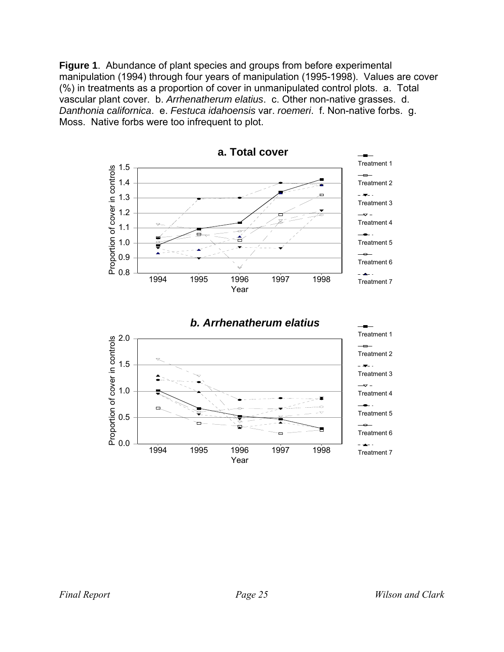**Figure 1**. Abundance of plant species and groups from before experimental manipulation (1994) through four years of manipulation (1995-1998). Values are cover (%) in treatments as a proportion of cover in unmanipulated control plots. a. Total vascular plant cover. b. *Arrhenatherum elatius*. c. Other non-native grasses. d. *Danthonia californica*. e. *Festuca idahoensis* var. *roemeri*. f. Non-native forbs. g. Moss. Native forbs were too infrequent to plot.

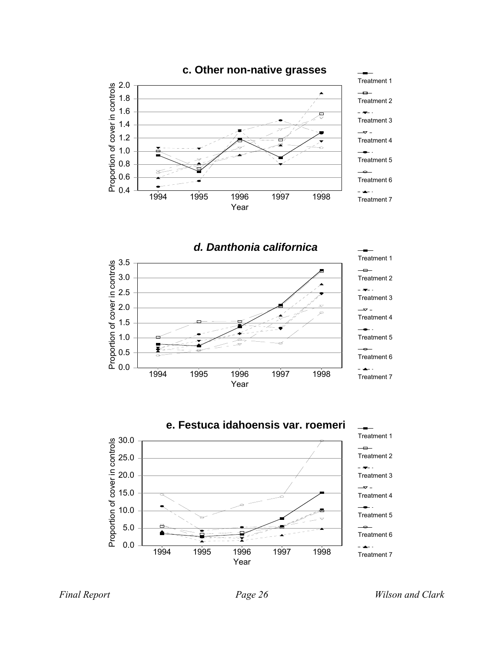

*d. Danthonia californica* Treatment 1 3.5 Proportion of cover in controls 3.0 Treatment 2 2.5 Treatment 3 2.0  $\rightarrow$ Treatment 4 1.5 Treatment 5 1.0 0.5 Treatment 6 0.0  $-\frac{1}{2}$ 1994 1995 1996 1997 1998 Treatment 7 Year



*Final Report Page 26 Wilson and Clark*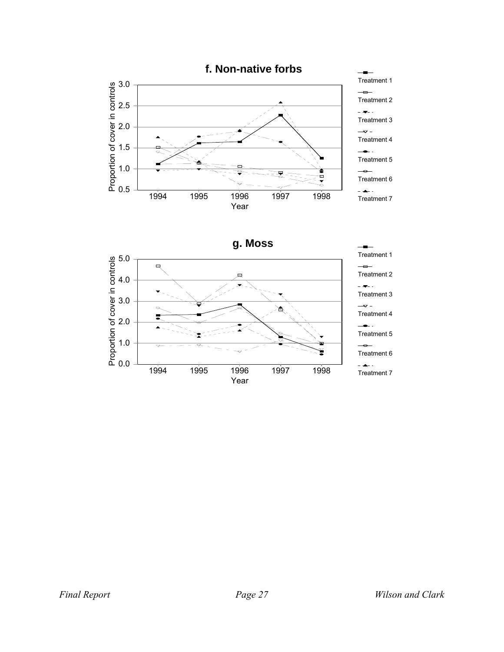

**g. Moss**

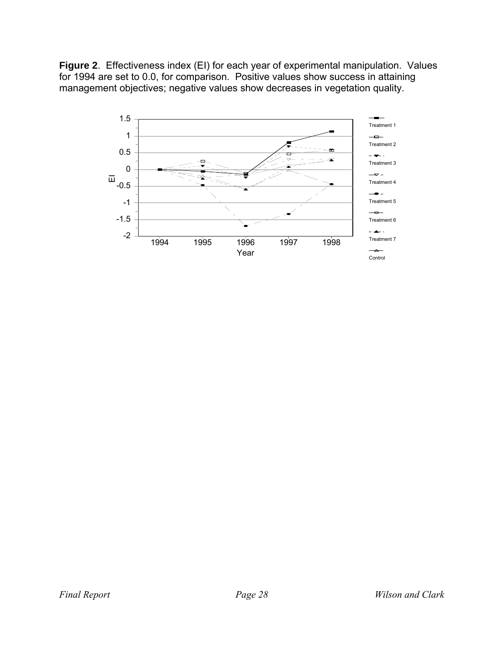**Figure 2**. Effectiveness index (EI) for each year of experimental manipulation. Values for 1994 are set to 0.0, for comparison. Positive values show success in attaining management objectives; negative values show decreases in vegetation quality.

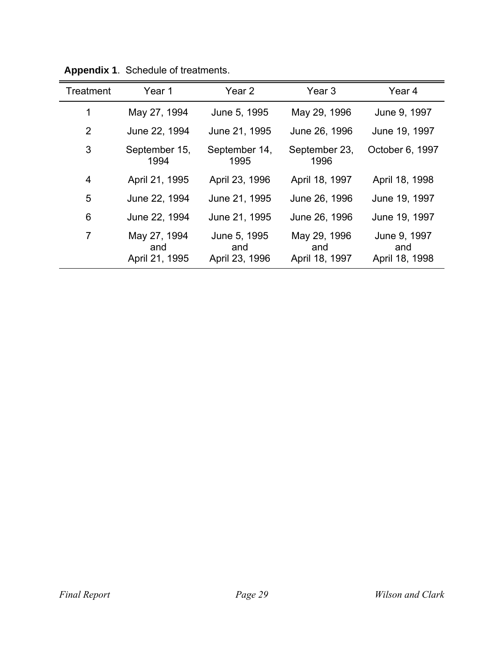| <b>Treatment</b> | Year 1                                | Year <sub>2</sub>                     | Year <sub>3</sub>                     | Year <sub>4</sub>                     |
|------------------|---------------------------------------|---------------------------------------|---------------------------------------|---------------------------------------|
| 1                | May 27, 1994                          | June 5, 1995                          | May 29, 1996                          | June 9, 1997                          |
| $\overline{2}$   | June 22, 1994                         | June 21, 1995                         | June 26, 1996                         | June 19, 1997                         |
| 3                | September 15,<br>1994                 | September 14,<br>1995                 | September 23,<br>1996                 | October 6, 1997                       |
| $\overline{4}$   | April 21, 1995                        | April 23, 1996                        | April 18, 1997                        | April 18, 1998                        |
| 5                | June 22, 1994                         | June 21, 1995                         | June 26, 1996                         | June 19, 1997                         |
| 6                | June 22, 1994                         | June 21, 1995                         | June 26, 1996                         | June 19, 1997                         |
| 7                | May 27, 1994<br>and<br>April 21, 1995 | June 5, 1995<br>and<br>April 23, 1996 | May 29, 1996<br>and<br>April 18, 1997 | June 9, 1997<br>and<br>April 18, 1998 |

**Appendix 1**. Schedule of treatments.